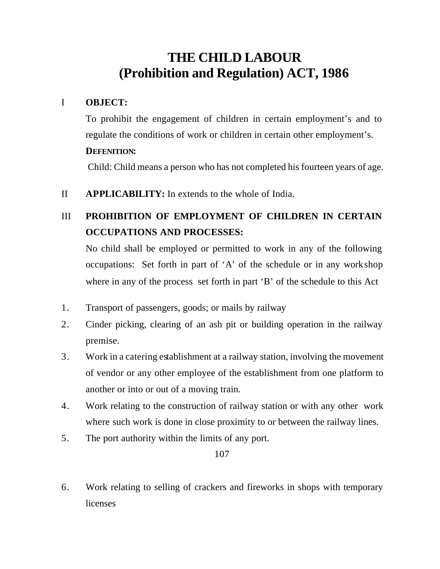# **THE CHILD LABOUR (Prohibition and Regulation) ACT, 1986**

#### I **OBJECT:**

To prohibit the engagement of children in certain employment's and to regulate the conditions of work or children in certain other employment's. **DEFENITION:**

### Child: Child means a person who has not completed his fourteen years of age.

II **APPLICABILITY:** In extends to the whole of India.

## III **PROHIBITION OF EMPLOYMENT OF CHILDREN IN CERTAIN OCCUPATIONS AND PROCESSES:**

No child shall be employed or permitted to work in any of the following occupations: Set forth in part of 'A' of the schedule or in any workshop where in any of the process set forth in part 'B' of the schedule to this Act

- 1. Transport of passengers, goods; or mails by railway
- 2. Cinder picking, clearing of an ash pit or building operation in the railway premise.
- 3. Work in a catering establishment at a railway station, involving the movement of vendor or any other employee of the establishment from one platform to another or into or out of a moving train.
- 4. Work relating to the construction of railway station or with any other work where such work is done in close proximity to or between the railway lines.
- 5. The port authority within the limits of any port.

107

6. Work relating to selling of crackers and fireworks in shops with temporary licenses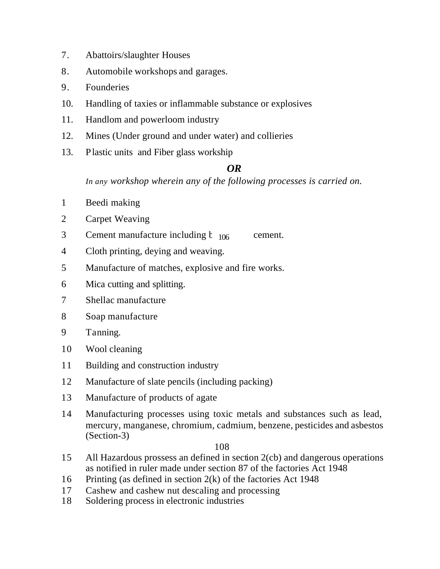- 7. Abattoirs/slaughter Houses
- 8. Automobile workshops and garages.
- 9. Founderies
- 10. Handling of taxies or inflammable substance or explosives
- 11. Handlom and powerloom industry
- 12. Mines (Under ground and under water) and collieries
- 13. Plastic units and Fiber glass workship

## *OR*

*In any workshop wherein any of the following processes is carried on.*

- 1 Beedi making
- 2 Carpet Weaving
- 3 Cement manufacture including  $t_{106}$  cement.
- 4 Cloth printing, deying and weaving.
- 5 Manufacture of matches, explosive and fire works.
- 6 Mica cutting and splitting.
- 7 Shellac manufacture
- 8 Soap manufacture
- 9 Tanning.
- 10 Wool cleaning
- 11 Building and construction industry
- 12 Manufacture of slate pencils (including packing)
- 13 Manufacture of products of agate
- 14 Manufacturing processes using toxic metals and substances such as lead, mercury, manganese, chromium, cadmium, benzene, pesticides and asbestos (Section-3)

#### 108

- 15 All Hazardous prossess an defined in section 2(cb) and dangerous operations as notified in ruler made under section 87 of the factories Act 1948
- 16 Printing (as defined in section 2(k) of the factories Act 1948
- 17 Cashew and cashew nut descaling and processing
- 18 Soldering process in electronic industries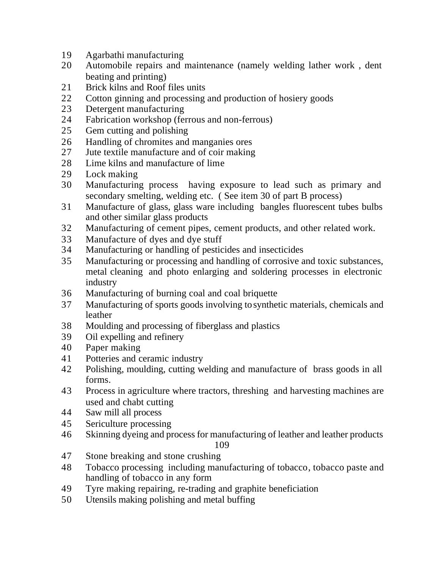- Agarbathi manufacturing
- Automobile repairs and maintenance (namely welding lather work , dent beating and printing)
- Brick kilns and Roof files units
- Cotton ginning and processing and production of hosiery goods
- Detergent manufacturing
- Fabrication workshop (ferrous and non-ferrous)
- Gem cutting and polishing
- Handling of chromites and manganies ores
- Jute textile manufacture and of coir making
- Lime kilns and manufacture of lime
- Lock making
- Manufacturing process having exposure to lead such as primary and secondary smelting, welding etc. ( See item 30 of part B process)
- Manufacture of glass, glass ware including bangles fluorescent tubes bulbs and other similar glass products
- Manufacturing of cement pipes, cement products, and other related work.
- Manufacture of dyes and dye stuff
- Manufacturing or handling of pesticides and insecticides
- Manufacturing or processing and handling of corrosive and toxic substances, metal cleaning and photo enlarging and soldering processes in electronic industry
- Manufacturing of burning coal and coal briquette
- Manufacturing of sports goods involving to synthetic materials, chemicals and leather
- Moulding and processing of fiberglass and plastics
- Oil expelling and refinery
- Paper making
- Potteries and ceramic industry
- Polishing, moulding, cutting welding and manufacture of brass goods in all forms.
- Process in agriculture where tractors, threshing and harvesting machines are used and chabt cutting
- Saw mill all process
- Sericulture processing
- Skinning dyeing and process for manufacturing of leather and leather products

#### 

- Stone breaking and stone crushing
- Tobacco processing including manufacturing of tobacco, tobacco paste and handling of tobacco in any form
- Tyre making repairing, re-trading and graphite beneficiation
- Utensils making polishing and metal buffing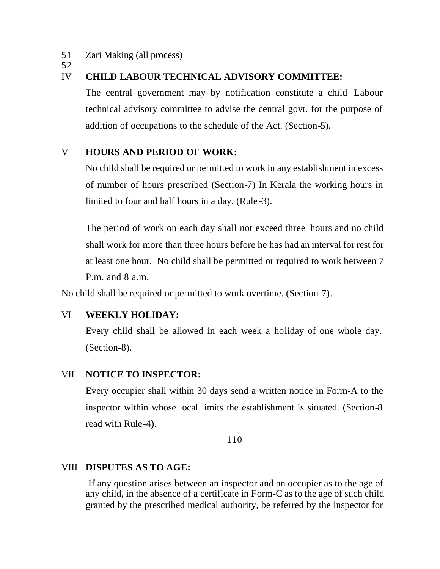51 Zari Making (all process)

52

#### IV **CHILD LABOUR TECHNICAL ADVISORY COMMITTEE:**

The central government may by notification constitute a child Labour technical advisory committee to advise the central govt. for the purpose of addition of occupations to the schedule of the Act. (Section-5).

#### V **HOURS AND PERIOD OF WORK:**

No child shall be required or permitted to work in any establishment in excess of number of hours prescribed (Section-7) In Kerala the working hours in limited to four and half hours in a day. (Rule -3).

The period of work on each day shall not exceed three hours and no child shall work for more than three hours before he has had an interval for rest for at least one hour. No child shall be permitted or required to work between 7 P.m. and 8 a.m.

No child shall be required or permitted to work overtime. (Section-7).

#### VI **WEEKLY HOLIDAY:**

Every child shall be allowed in each week a holiday of one whole day. (Section-8).

#### VII **NOTICE TO INSPECTOR:**

Every occupier shall within 30 days send a written notice in Form-A to the inspector within whose local limits the establishment is situated. (Section-8 read with Rule-4).

110

#### VIII **DISPUTES AS TO AGE:**

If any question arises between an inspector and an occupier as to the age of any child, in the absence of a certificate in Form-C as to the age of such child granted by the prescribed medical authority, be referred by the inspector for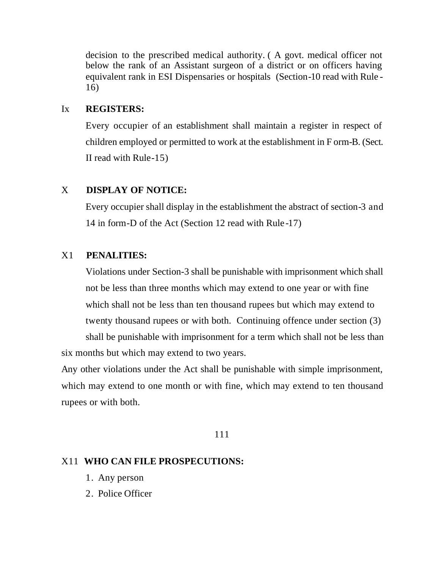decision to the prescribed medical authority. ( A govt. medical officer not below the rank of an Assistant surgeon of a district or on officers having equivalent rank in ESI Dispensaries or hospitals (Section-10 read with Rule - 16)

#### Ix **REGISTERS:**

Every occupier of an establishment shall maintain a register in respect of children employed or permitted to work at the establishment in F orm-B. (Sect. II read with Rule-15)

#### X **DISPLAY OF NOTICE:**

Every occupier shall display in the establishment the abstract of section-3 and 14 in form-D of the Act (Section 12 read with Rule -17)

#### X1 **PENALITIES:**

Violations under Section-3 shall be punishable with imprisonment which shall not be less than three months which may extend to one year or with fine which shall not be less than ten thousand rupees but which may extend to twenty thousand rupees or with both. Continuing offence under section (3)

shall be punishable with imprisonment for a term which shall not be less than six months but which may extend to two years.

Any other violations under the Act shall be punishable with simple imprisonment, which may extend to one month or with fine, which may extend to ten thousand rupees or with both.

#### 111

#### X11 **WHO CAN FILE PROSPECUTIONS:**

- 1. Any person
- 2. Police Officer